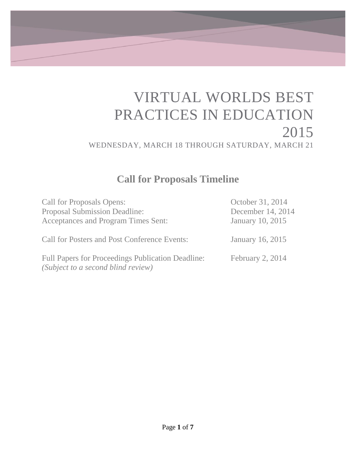# VIRTUAL WORLDS BEST PRACTICES IN EDUCATION 2015 WEDNESDAY, MARCH 18 THROUGH SATURDAY, MARCH 21

### **Call for Proposals Timeline**

<span id="page-0-0"></span>

| <b>Call for Proposals Opens:</b>                                                        | October 31, 2014        |
|-----------------------------------------------------------------------------------------|-------------------------|
| Proposal Submission Deadline:                                                           | December 14, 2014       |
| Acceptances and Program Times Sent:                                                     | <b>January 10, 2015</b> |
| <b>Call for Posters and Post Conference Events:</b>                                     | January 16, 2015        |
| Full Papers for Proceedings Publication Deadline:<br>(Subject to a second blind review) | February 2, 2014        |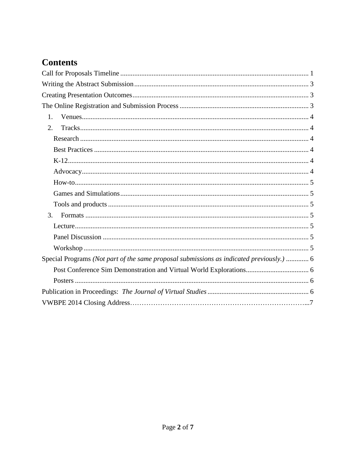### **Contents**

| 1.                                                                                       |
|------------------------------------------------------------------------------------------|
| 2.                                                                                       |
|                                                                                          |
|                                                                                          |
|                                                                                          |
|                                                                                          |
|                                                                                          |
|                                                                                          |
|                                                                                          |
| 3.                                                                                       |
|                                                                                          |
|                                                                                          |
|                                                                                          |
| Special Programs (Not part of the same proposal submissions as indicated previously.)  6 |
|                                                                                          |
|                                                                                          |
|                                                                                          |
|                                                                                          |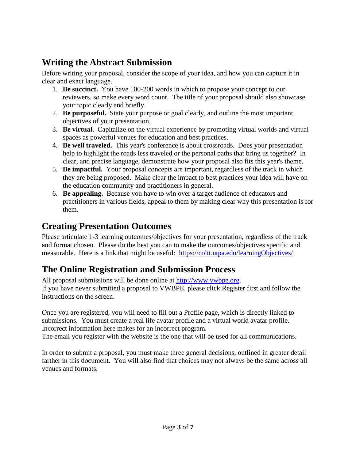### <span id="page-2-0"></span>**Writing the Abstract Submission**

Before writing your proposal, consider the scope of your idea, and how you can capture it in clear and exact language.

- 1. **Be succinct.** You have 100-200 words in which to propose your concept to our reviewers, so make every word count. The title of your proposal should also showcase your topic clearly and briefly.
- 2. **Be purposeful.** State your purpose or goal clearly, and outline the most important objectives of your presentation.
- 3. **Be virtual.** Capitalize on the virtual experience by promoting virtual worlds and virtual spaces as powerful venues for education and best practices.
- 4. **Be well traveled.** This year's conference is about crossroads. Does your presentation help to highlight the roads less traveled or the personal paths that bring us together? In clear, and precise language, demonstrate how your proposal also fits this year's theme.
- 5. **Be impactful.** Your proposal concepts are important, regardless of the track in which they are being proposed. Make clear the impact to best practices your idea will have on the education community and practitioners in general.
- 6. **Be appealing.** Because you have to win over a target audience of educators and practitioners in various fields, appeal to them by making clear why this presentation is for them.

### <span id="page-2-1"></span>**Creating Presentation Outcomes**

Please articulate 1-3 learning outcomes/objectives for your presentation, regardless of the track and format chosen. Please do the best you can to make the outcomes/objectives specific and measurable. Here is a link that might be useful: <https://coltt.utpa.edu/learningObjectives/>

### <span id="page-2-2"></span>**The Online Registration and Submission Process**

All proposal submissions will be done online at [http://www.vwbpe.org.](http://www.vwbpe.org/) If you have never submitted a proposal to VWBPE, please click Register first and follow the instructions on the screen.

Once you are registered, you will need to fill out a Profile page, which is directly linked to submissions. You must create a real life avatar profile and a virtual world avatar profile. Incorrect information here makes for an incorrect program.

The email you register with the website is the one that will be used for all communications.

In order to submit a proposal, you must make three general decisions, outlined in greater detail farther in this document. You will also find that choices may not always be the same across all venues and formats.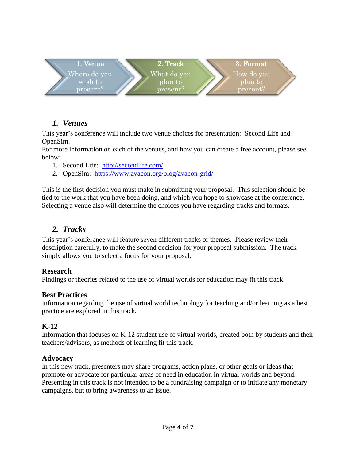

#### <span id="page-3-0"></span>*1. Venues*

This year's conference will include two venue choices for presentation: Second Life and OpenSim.

For more information on each of the venues, and how you can create a free account, please see below:

- 1. Second Life: <http://secondlife.com/>
- 2. OpenSim: <https://www.avacon.org/blog/avacon-grid/>

This is the first decision you must make in submitting your proposal. This selection should be tied to the work that you have been doing, and which you hope to showcase at the conference. Selecting a venue also will determine the choices you have regarding tracks and formats.

#### <span id="page-3-1"></span>*2. Tracks*

This year's conference will feature seven different tracks or themes. Please review their description carefully, to make the second decision for your proposal submission. The track simply allows you to select a focus for your proposal.

#### <span id="page-3-2"></span>**Research**

Findings or theories related to the use of virtual worlds for education may fit this track.

#### <span id="page-3-3"></span>**Best Practices**

Information regarding the use of virtual world technology for teaching and/or learning as a best practice are explored in this track.

#### <span id="page-3-4"></span>**K-12**

Information that focuses on K-12 student use of virtual worlds, created both by students and their teachers/advisors, as methods of learning fit this track.

#### <span id="page-3-5"></span>**Advocacy**

<span id="page-3-6"></span>In this new track, presenters may share programs, action plans, or other goals or ideas that promote or advocate for particular areas of need in education in virtual worlds and beyond. Presenting in this track is not intended to be a fundraising campaign or to initiate any monetary campaigns, but to bring awareness to an issue.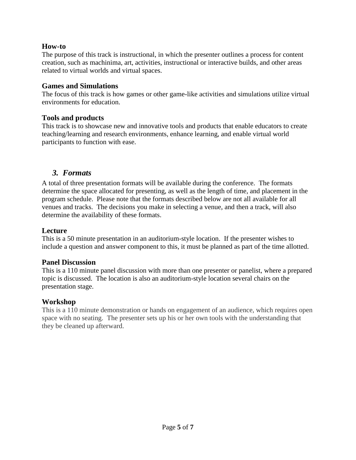#### **How-to**

The purpose of this track is instructional, in which the presenter outlines a process for content creation, such as machinima, art, activities, instructional or interactive builds, and other areas related to virtual worlds and virtual spaces.

#### <span id="page-4-0"></span>**Games and Simulations**

The focus of this track is how games or other game-like activities and simulations utilize virtual environments for education.

#### <span id="page-4-1"></span>**Tools and products**

This track is to showcase new and innovative tools and products that enable educators to create teaching/learning and research environments, enhance learning, and enable virtual world participants to function with ease.

#### *3. Formats*

<span id="page-4-2"></span>A total of three presentation formats will be available during the conference. The formats determine the space allocated for presenting, as well as the length of time, and placement in the program schedule. Please note that the formats described below are not all available for all venues and tracks. The decisions you make in selecting a venue, and then a track, will also determine the availability of these formats.

#### <span id="page-4-3"></span>**Lecture**

This is a 50 minute presentation in an auditorium-style location. If the presenter wishes to include a question and answer component to this, it must be planned as part of the time allotted.

#### <span id="page-4-4"></span>**Panel Discussion**

This is a 110 minute panel discussion with more than one presenter or panelist, where a prepared topic is discussed. The location is also an auditorium-style location several chairs on the presentation stage.

#### <span id="page-4-5"></span>**Workshop**

This is a 110 minute demonstration or hands on engagement of an audience, which requires open space with no seating. The presenter sets up his or her own tools with the understanding that they be cleaned up afterward.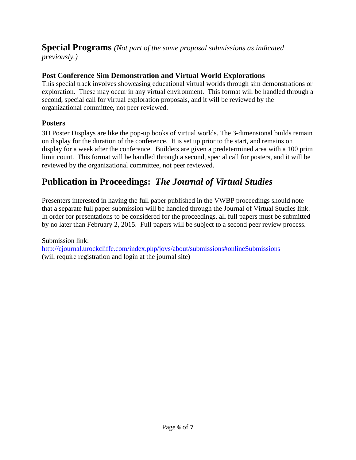## <span id="page-5-0"></span>**Special Programs** *(Not part of the same proposal submissions as indicated*

*previously.)*

#### <span id="page-5-1"></span>**Post Conference Sim Demonstration and Virtual World Explorations**

This special track involves showcasing educational virtual worlds through sim demonstrations or exploration. These may occur in any virtual environment. This format will be handled through a second, special call for virtual exploration proposals, and it will be reviewed by the organizational committee, not peer reviewed.

#### <span id="page-5-2"></span>**Posters**

3D Poster Displays are like the pop-up books of virtual worlds. The 3-dimensional builds remain on display for the duration of the conference. It is set up prior to the start, and remains on display for a week after the conference. Builders are given a predetermined area with a 100 prim limit count. This format will be handled through a second, special call for posters, and it will be reviewed by the organizational committee, not peer reviewed.

### <span id="page-5-3"></span>**Publication in Proceedings:** *The Journal of Virtual Studies*

Presenters interested in having the full paper published in the VWBP proceedings should note that a separate full paper submission will be handled through the Journal of Virtual Studies link. In order for presentations to be considered for the proceedings, all full papers must be submitted by no later than February 2, 2015. Full papers will be subject to a second peer review process.

Submission link: <http://ejournal.urockcliffe.com/index.php/jovs/about/submissions#onlineSubmissions> (will require registration and login at the journal site)